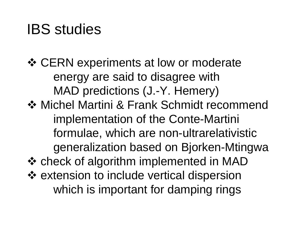# IBS studies

❖ CERN experiments at low or moderate energy are said to disagree with MAD predictions (J.-Y. Hemery)

**❖ Michel Martini & Frank Schmidt recommend** implementation of the Conte-Martini formulae, which are non-ultrarelativistic generalization based on Bjorken-Mtingwa

**❖ check of algorithm implemented in MAD** ❖ extension to include vertical dispersion which is important for damping rings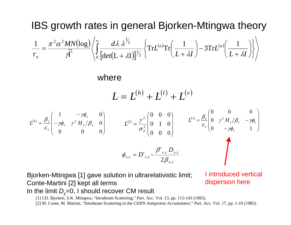#### IBS growth rates in general Bjorken-Mtingwa theory  $(\log)$  $\bigl[ \det \bigl( L + \lambda I \bigr) \bigr]$  $\int_{0}^{\infty} \frac{d\lambda \lambda^{72}}{[1 + (L-2L)]^2} \left\{ \text{Tr} L^{(a)} \text{Tr} \left( \frac{1}{L+2L} \right) - 3 \text{Tr} L^{(a)} \right\}$ ⎭  $\left\{ \right\}$ ⎫  $\overline{\mathcal{L}}$  $\left\{ \text{Tr} L^{(a)} \text{Tr} \left( \frac{1}{\sigma_a} \right) - 3 \text{Tr} L^{(a)} \left( \frac{1}{\sigma_a} \right) \right\}$  $\int$  $\left(\frac{1}{\sqrt{1-\frac{1}{1-\frac{1}{\sqrt{1-\frac{1}{\sqrt{1-\frac{1}{\sqrt{1-\frac{1}{\sqrt{1-\frac{1}{\sqrt{1-\frac{1}{\sqrt{1-\frac{1}{\sqrt{1-\frac{1}{\sqrt{1-\frac{1}{\sqrt{1-\frac{1}{\sqrt{1-\frac{1}{\sqrt{1-\frac{1}{\sqrt{1-\frac{1}{\sqrt{1-\frac{1}{\sqrt{1-\frac{1}{\sqrt{1-\frac{1}{\sqrt{1-\frac{1}{\sqrt{1-\frac{1}{\sqrt{1-\frac{1}{\sqrt{1-\frac{1}{\sqrt{1-\frac{1}{\sqrt{1-\frac{1}{\sqrt{1-\frac{1}{$  $\setminus$  $\bigg($  $\int -3 \text{Tr} L^{(a)} \left( \frac{1}{L+1} \right)$  $\left(\frac{1}{\sqrt{1-\frac{1}{2}}}\right)$ ⎝  $\bigg($  $\Gamma \qquad \begin{array}{c} \begin{array}{c} \set{\bigcirc} \ \mathbf{0} \end{array} \end{array} \begin{array}{c} \det(L + \lambda I) \end{array} \begin{array}{c} \begin{array}{c} \set{\bigcirc} \mathbf{1} \end{array} \end{array} \begin{array}{c} \set{\mathbf{1}} \end{array}$ =  $\zeta_0$  [det(L +  $\lambda$ I)]/2 1 2  $\frac{1}{2} \alpha^2 MN(\log) \left(\int_0^\infty d\lambda \frac{\lambda^{1/2}}{M} \int_{\Gamma} \text{Tr} L^{(a)} \text{Tr} \left(\frac{1}{\lambda^{1/2}}\right) - 3 \text{Tr} L^{(a)} \left(\frac{1}{\lambda^{1/2}}\right) \right)$ 1 $\mathrm{Tr} L^{(a)} \mathrm{Tr} \mathsf{I}$  —  $\det(\mathbf{L} + \lambda \mathbf{I})$  $\bf\cong$  $1 \pi^2 \alpha^2 MN(\log n)$  $L + \lambda I$  $\left[\frac{1}{L + \lambda I}\right]$  – 3 $\mathrm{Tr}L$  $\frac{MN(\log)}{a} \left( \int_{0}^{\infty} \frac{d\lambda \lambda^{2}}{2} \right) \text{Tr} L^{(a)} \text{Tr} \left( \frac{1}{2} \right) - 3 \text{Tr} L^{(a)}$ *a*  $\mathcal{F}$   $\left\{\begin{array}{c} \begin{array}{c} \lambda \\ 0 \end{array} \left[\det(L+\lambda I)\right] \end{array}\right\}$   $\left(\begin{array}{c} L+\lambda I \end{array}\right)$   $\left(\begin{array}{c} L+\lambda I \end{array}\right)$ λ λ  $\mathcal{Y}$  $\pi$ <sup>-</sup> $\alpha$  $\tau$

#### where

$$
L = L^{(h)} + L^{(l)} + L^{(v)}
$$

$$
L^{(h)} = \frac{\beta_x}{\varepsilon_x} \begin{pmatrix} 1 & -\gamma \phi_x & 0 \\ -\gamma \phi_x & \gamma^2 H_x / \beta_x & 0 \\ 0 & 0 & 0 \end{pmatrix} \qquad L^{(l)} = \frac{\gamma^2}{\sigma_{\delta}^2} \begin{pmatrix} 0 & 0 & 0 \\ 0 & 1 & 0 \\ 0 & 0 & 0 \end{pmatrix} \qquad L^{(v)} = \frac{\beta_z}{\varepsilon_z} \begin{pmatrix} 0 & 0 & 0 \\ 0 & \gamma^2 H_z / \beta_z & -\gamma \phi_z \\ 0 & -\gamma \phi_z & 1 \end{pmatrix}
$$

$$
\phi_{x,z} = D'_{x,z} - \frac{\beta'_{x,z} D_{x,z}}{2 \beta_{x,z}}
$$

Bjorken-Mtingwa [1] gave solution in ultrarelativistic limit; Conte-Martini [2] kept all terms In the limit *D<sub>z</sub>=*0, I should recover CM result

[1] J.D. Bjorken, S.K. Mtingwa, "Intrabea m Scattering," Part. Acc. Vol. 13, pp. 115-143 (1983).

[2] M. Conte, M. Martini, "Intrabeam Scattering in the CERN Antiproton Accumulator," Part. Acc. Vol. 17, pp. 1-10 (1985).

I introduced vertical dispersion here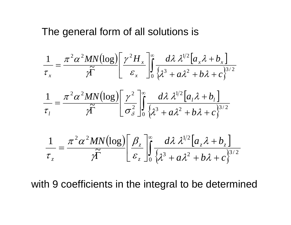The general form of all solutions is

$$
\frac{1}{\tau_x} = \frac{\pi^2 \alpha^2 MN(\log) \left[ \gamma^2 H_x}{\rho \widetilde{K}} \right]_0^{\infty} \frac{d\lambda \lambda^{1/2} \left[ a_x \lambda + b_x \right]}{\left\{ \lambda^3 + a\lambda^2 + b\lambda + c \right\}^{3/2}}
$$

$$
\frac{1}{\tau_l} = \frac{\pi^2 \alpha^2 MN(\log) \left[ \gamma^2 \right]_0^{\infty} \left[ \frac{\gamma^2}{\sigma_{\delta}^2} \right]_0^{\infty} \frac{d\lambda \lambda^{1/2} \left[ a_t \lambda + b_t \right]}{\left\{ \lambda^3 + a\lambda^2 + b\lambda + c \right\}^{3/2}}
$$

$$
\frac{1}{\tau_z} = \frac{\pi^2 \alpha^2 MN(\log) \left[\beta_z\right]}{\gamma \widetilde{\Gamma}} \left[\frac{\beta_z}{\varepsilon_z}\right] \int_0^\infty \frac{d\lambda \lambda^{1/2} \left[a_z \lambda + b_z\right]}{\left\{\lambda^3 + a\lambda^2 + b\lambda + c\right\}^{3/2}}
$$

with 9 coefficients in the integral to be determined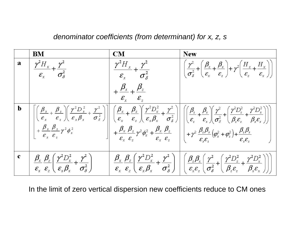*denominator coefficients (from determinant) for x, z, s*

|              | BM                                                                                                                                                                                                  | $\mathbf{CM}$                                                             | <b>New</b>                                                                                                                                                                                                                                                                                                                                                                                                                                                                                                                                                                              |
|--------------|-----------------------------------------------------------------------------------------------------------------------------------------------------------------------------------------------------|---------------------------------------------------------------------------|-----------------------------------------------------------------------------------------------------------------------------------------------------------------------------------------------------------------------------------------------------------------------------------------------------------------------------------------------------------------------------------------------------------------------------------------------------------------------------------------------------------------------------------------------------------------------------------------|
| $\mathbf{a}$ | $\frac{\gamma^2 H_x}{\varepsilon_x} + \frac{\gamma^2}{\sigma_{\delta}^2}$                                                                                                                           | $\frac{\gamma^2 H_x}{\varepsilon_x} + \frac{\gamma^2}{\sigma_{\delta}^2}$ | $\left[ \left( \frac{\gamma^2}{\sigma_{\delta}^2} + \left( \frac{\beta_z}{\epsilon_x} + \frac{\beta_x}{\epsilon_z} \right) + \gamma^2 \left( \frac{H_z}{\epsilon_z} + \frac{H_x}{\epsilon_x} \right) \right] \right]$                                                                                                                                                                                                                                                                                                                                                                   |
|              |                                                                                                                                                                                                     | $+\frac{\beta_x}{1}+\frac{\beta_z}{1}$<br>$\mathcal{E}_{\tau}$            |                                                                                                                                                                                                                                                                                                                                                                                                                                                                                                                                                                                         |
| $\mathbf b$  |                                                                                                                                                                                                     |                                                                           | $\left[\begin{array}{c} \left[\frac{\beta_x}{\epsilon_x} + \frac{\beta_z}{\epsilon_z}\right]\left(\frac{\gamma^2 D_x^2}{\epsilon_x \beta_x} + \frac{\gamma^2}{\sigma_{\delta}^2}\right)\\ + \frac{\beta_x}{\epsilon_x} \frac{\beta_z}{\epsilon_z} \gamma^2 \phi_x^2 \end{array}\right]\right] \left[\frac{\beta_x}{\epsilon_x} + \frac{\beta_z}{\epsilon_z}\right] \left[\frac{\gamma^2 D_x^2}{\epsilon_x \beta_x} + \frac{\gamma^2}{\sigma_{\delta}^2}\right] \left[\begin{array}{c} \left(\frac{\beta_z}{\epsilon_z} + \frac{\beta_x}{\epsilon_x}\right)\left(\frac{\gamma^2}{\sigma$ |
|              |                                                                                                                                                                                                     |                                                                           |                                                                                                                                                                                                                                                                                                                                                                                                                                                                                                                                                                                         |
| $\mathbf c$  | $\left  \frac{\beta_{x}}{\varepsilon_{x}} \frac{\beta_{z}}{\varepsilon_{z}} \left( \frac{\gamma^{2} D_{x}^{2}}{\varepsilon_{x} \beta_{x}} + \frac{\gamma^{2}}{\sigma_{\delta}^{2}} \right) \right $ |                                                                           | $\left  \frac{\beta_x}{\varepsilon_x} \frac{\beta_z}{\varepsilon_z} \left( \frac{\gamma^2 D_x^2}{\varepsilon_x \beta_x} + \frac{\gamma^2}{\sigma_{\delta}^2} \right) \right  \left( \frac{\beta_z \beta_x}{\varepsilon_z \varepsilon_z} \left( \frac{\gamma^2}{\sigma_{\delta}^2} + \left( \frac{\gamma^2 D_z^2}{\beta_z \varepsilon_z} + \frac{\gamma^2 D_x^2}{\beta_x \varepsilon_x} \right) \right) \right)$                                                                                                                                                                         |

In the limit of zero vertical dispersion new coefficients reduce to CM ones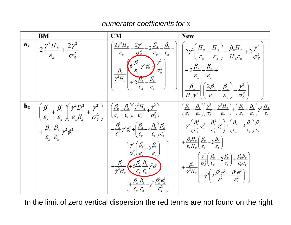#### *numerator coefficients for x*

|                         | BM                                                                                                                                                                                                                                                                                                                                                                                                                                                       | CM                                                                                                                                                                                                                                                                                                                                                                                                                                                                | <b>New</b>                                                                                                                                                                                                                                                                                                                                                                                                                                                                                                                                                                                                                                                                                                                                                                                                                                                                                                                                                                                                                                                                                                                          |
|-------------------------|----------------------------------------------------------------------------------------------------------------------------------------------------------------------------------------------------------------------------------------------------------------------------------------------------------------------------------------------------------------------------------------------------------------------------------------------------------|-------------------------------------------------------------------------------------------------------------------------------------------------------------------------------------------------------------------------------------------------------------------------------------------------------------------------------------------------------------------------------------------------------------------------------------------------------------------|-------------------------------------------------------------------------------------------------------------------------------------------------------------------------------------------------------------------------------------------------------------------------------------------------------------------------------------------------------------------------------------------------------------------------------------------------------------------------------------------------------------------------------------------------------------------------------------------------------------------------------------------------------------------------------------------------------------------------------------------------------------------------------------------------------------------------------------------------------------------------------------------------------------------------------------------------------------------------------------------------------------------------------------------------------------------------------------------------------------------------------------|
| $\mathbf{a}_\mathbf{x}$ | $2\frac{\gamma^2 H_x}{\varepsilon_x} + \frac{2\gamma^2}{\sigma_{\delta}^2}$                                                                                                                                                                                                                                                                                                                                                                              |                                                                                                                                                                                                                                                                                                                                                                                                                                                                   | $\begin{equation} \begin{bmatrix} \frac{2\gamma^2H_x}{\epsilon_x} + \frac{2\gamma^2}{\sigma_z^2} - 2\frac{\beta_x}{\epsilon_x} - \frac{\beta_z}{\epsilon_z} + \\ \frac{\beta_x}{\gamma^2H_x} \end{bmatrix} \begin{bmatrix} \frac{\beta_x}{\epsilon_x} + \frac{2\gamma^2}{\sigma_z^2} \\ \frac{\beta_x}{\epsilon_x} + \frac{2\beta_x}{\sigma_z} - \frac{\beta_z}{\sigma_z^2} \\ \frac{\beta_x}{\epsilon_x} + \frac{2\beta_x}{\epsilon_x} - \frac{\beta_z}{\epsilon_z} \end{bmatrix} \end{equation}$                                                                                                                                                                                                                                                                                                                                                                                                                                                                                                                                                                                                                                  |
| $\mathbf{b}_\mathbf{x}$ | $\left \left(\frac{\beta_{x}}{\varepsilon_{x}}+\frac{\beta_{z}}{\varepsilon_{z}}\right)\left(\frac{\gamma^{2}D_{x}^{2}}{\varepsilon_{x}\beta_{x}}+\frac{\gamma^{2}}{\sigma_{s}^{2}}\right)\right \left(\frac{\beta_{x}}{\varepsilon_{x}}+\frac{\beta_{z}}{\varepsilon_{z}}\right)\frac{\gamma^{2}H_{x}}{\varepsilon_{x}}+\frac{\gamma^{2}}{\sigma_{\delta}^{2}}\right)$<br>$+\frac{\beta_x}{\varepsilon_x}\frac{\beta_z}{\varepsilon_z}\gamma^2\phi_x^2$ | $-\frac{\beta_x^2}{\epsilon_x^2}\gamma^2\phi_x^2+\left(\frac{\beta_x}{\epsilon_x}-4\frac{\beta_z}{\epsilon_x}\right)\frac{\beta_x}{\epsilon_x}$<br>$\left(\frac{\gamma^2}{\sigma_s^2}\left(\frac{\beta_x}{\varepsilon_x}-2\frac{\beta_z}{\varepsilon_x}\right)\right)$<br>$+\frac{\beta_x}{\gamma^2 H_x}$ +6 $\frac{\beta_x \beta_z}{\epsilon_x \epsilon_z}$ $\gamma^2 \phi_x^2$<br>$+\frac{\beta_x \beta_z}{2}-\gamma^2 \frac{\beta_x^2 \phi_x^2}{\epsilon_x^2}$ | $\left(\frac{\beta_z}{\varepsilon_r}+\frac{\beta_x}{\varepsilon_r}\right)\left(\frac{\gamma^2}{\sigma_s^2}+\frac{\gamma^2H_x}{\varepsilon_r}\right)+\left(\frac{\beta_z}{\varepsilon_r}+\frac{\beta_x}{\varepsilon_r}\right)\gamma^2\frac{H_z}{\varepsilon_r}$<br>$-\gamma^2\left(\frac{\beta_x^2}{\varepsilon_x^2}\varphi_x^2+\frac{\beta_z^2}{\varepsilon_y^2}\varphi_z^2\right)+\left(\frac{\beta_x}{\varepsilon_x}-4\frac{\beta_z}{\varepsilon_x}\right)\frac{\beta_x}{\varepsilon_x}$<br>$+\frac{\beta_{x}H_{z}}{\varepsilon_{z}H_{x}}\left(\frac{\beta_{x}}{\varepsilon_{x}}-2\frac{\beta_{z}}{\varepsilon_{z}}\right)$<br>$+\frac{\beta_{\text{x}}}{\gamma^2H_{\text{x}}}\!\!\left[\frac{\gamma^2}{\sigma_{\text{s}}^2}\!\!\left(\frac{\beta_{\text{x}}}{\varepsilon_{\text{x}}}\!\!-\!2\frac{\beta_{\text{z}}}{\varepsilon_{\text{z}}}\right)\!\!+\!\frac{\beta_{\text{z}}\beta_{\text{x}}}{\varepsilon_{\text{z}}\varepsilon_{\text{x}}}\right] \!+\!\gamma^2\!\!\left(2\frac{\beta_{\text{z}}^2\varphi_{\text{z}}^2}{\varepsilon_{\text{z}}^2}\!-\!\frac{\beta_{\text{x}}^2\varphi_{\text{x}}^2}{\varepsilon_{\text{x}}^$ |

In the limit of zero vertical dispersion the red terms are not found on the right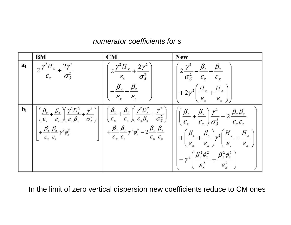#### *numerator coefficients for s*

|                | ${\bf BM}$                                                                  | $\mathbf{CM}$                                                         | <b>New</b>                                                                                                                                                                                                                                                                                                                                                                                                                                                                                                                                         |
|----------------|-----------------------------------------------------------------------------|-----------------------------------------------------------------------|----------------------------------------------------------------------------------------------------------------------------------------------------------------------------------------------------------------------------------------------------------------------------------------------------------------------------------------------------------------------------------------------------------------------------------------------------------------------------------------------------------------------------------------------------|
| a <sub>l</sub> | $2\frac{\gamma^2 H_x}{\varepsilon_x} + \frac{2\gamma^2}{\sigma_{\delta}^2}$ | $\gamma \frac{\gamma^2 H_x}{\gamma + 2\gamma^2}$<br>$\mathcal{E}_{x}$ | $\left(2\frac{\gamma^2}{\sigma_{\delta}^2} - \frac{\beta_z}{\varepsilon_z} - \frac{\beta_x}{\varepsilon_x}\right)$                                                                                                                                                                                                                                                                                                                                                                                                                                 |
|                |                                                                             | $-\frac{\beta_x}{\varepsilon_x}-\frac{\beta_z}{\varepsilon_z}$        | $+2\gamma^2\left(\frac{H_z}{\varepsilon_z}+\frac{H_x}{\varepsilon_x}\right)$                                                                                                                                                                                                                                                                                                                                                                                                                                                                       |
| $\mathbf{b}_1$ |                                                                             |                                                                       | $\begin{array}{ll} \left  \left( \frac{\beta_x}{\varepsilon_x} + \frac{\beta_z}{\varepsilon_z} \right) \left( \frac{\gamma^2 D_x^2}{\varepsilon_x \beta_x} + \frac{\gamma^2}{\sigma_{\delta}^2} \right) \right  \\ \left  \left( \frac{\beta_x}{\varepsilon_x} + \frac{\beta_z}{\varepsilon_z} \right) \left( \frac{\beta_x}{\varepsilon_x} + \frac{\beta_z}{\varepsilon_z} \right) \left( \frac{\gamma^2 D_x^2}{\varepsilon_x \beta_x} + \frac{\gamma^2}{\sigma_{\delta}^2} \right) \end{array} \right  \left  \left( \frac{\beta_z}{\varepsilon$ |
|                |                                                                             |                                                                       | $\left  + \left(\frac{\beta_z}{\varepsilon_z} + \frac{\beta_x}{\varepsilon_x}\right) \gamma^2 \left(\frac{H_z}{\varepsilon_z} + \frac{H_x}{\varepsilon_x}\right) \right $                                                                                                                                                                                                                                                                                                                                                                          |
|                |                                                                             |                                                                       | $-\gamma^2\left(\frac{\beta_x^2\phi_x^2}{\varepsilon_x^2}+\frac{\beta_z^2\phi_z^2}{\varepsilon_y^2}\right)$                                                                                                                                                                                                                                                                                                                                                                                                                                        |

In the limit of zero vertical dispersion new coefficients reduce to CM ones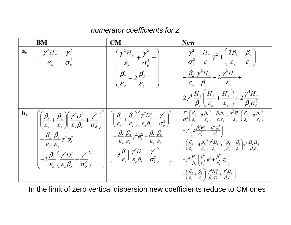#### *numerator coefficients for z*

|                         | $\mathbf{BM}$                                                                                                        | CM                                                                                                                                                                                                            | <b>New</b>                                                                                                                                                                                                                                                                                                                                                                                                                                                                                                                          |
|-------------------------|----------------------------------------------------------------------------------------------------------------------|---------------------------------------------------------------------------------------------------------------------------------------------------------------------------------------------------------------|-------------------------------------------------------------------------------------------------------------------------------------------------------------------------------------------------------------------------------------------------------------------------------------------------------------------------------------------------------------------------------------------------------------------------------------------------------------------------------------------------------------------------------------|
| $a_{\mathbf{z}}$        | $-\frac{\gamma^2 H_x}{\varepsilon_r} - \frac{\gamma^2}{\sigma_{\delta}^2}$                                           | $-\left(\frac{\gamma^2 H_x}{\varepsilon_x} + \frac{\gamma^2}{\sigma_{\delta}^2} + \frac{\rho_{\varepsilon}^2}{\varepsilon_{\varepsilon}^2} + \frac{\rho_{\varepsilon}^2}{\varepsilon_{\varepsilon}^2}\right)$ | $-\frac{\gamma^2}{\sigma_{\delta}^2} - \frac{H_{x}}{\epsilon_{x}}\gamma^2 + \left(\frac{2\beta_{z}}{\epsilon_{z}} - \frac{\beta_{x}}{\epsilon_{x}}\right)$                                                                                                                                                                                                                                                                                                                                                                          |
|                         |                                                                                                                      |                                                                                                                                                                                                               | $-\frac{\beta_{x} \gamma^2 H_{z}}{\varepsilon_{x} \beta_{z}}-2\frac{\gamma^2 H_{z}}{\varepsilon_{z}}+$                                                                                                                                                                                                                                                                                                                                                                                                                              |
|                         |                                                                                                                      |                                                                                                                                                                                                               | $2\gamma^4 \frac{H_z}{\beta_z} \left(\frac{H_z}{\varepsilon_z} + \frac{H_z}{\varepsilon_z}\right) + 2\frac{\gamma^4 H_z}{\beta_z \sigma_z^2}$                                                                                                                                                                                                                                                                                                                                                                                       |
| $\mathbf{b}_\mathbf{z}$ |                                                                                                                      |                                                                                                                                                                                                               | $\begin{array}{ c c c c c } \hline \left( \frac{\beta_x}{\varepsilon_x} + \frac{\beta_z}{\varepsilon_z} \right) & \frac{\gamma^2 D_x^2}{\varepsilon_x \beta_x} + \frac{\gamma^2}{\sigma_\delta^2} \end{array}\right) & \left[ \begin{array}{l} \left( \frac{\beta_x}{\varepsilon_x} + \frac{\beta_z}{\varepsilon_z} \right) & \frac{\gamma^2 D_x^2}{\varepsilon_x \beta_x} + \frac{\gamma^2}{\sigma_\delta^2} \end{array}\right) & \left[ \begin{array}{l} \frac{\gamma^2}{\sigma_\delta^2} \left( \frac{\beta_z}{\varepsilon_z} -$ |
|                         | $-3\frac{\beta_x}{\varepsilon}\left(\frac{\gamma^2 D_x^2}{\varepsilon_z \beta_z}+\frac{\gamma^2}{\sigma_s^2}\right)$ | $\left \left -\frac{3}{\mathcal{E}_{x}}\left(\frac{\gamma^{2}D_{x}^{2}}{\mathcal{E}_{x}\beta_{x}}+\frac{\gamma^{2}}{\sigma_{\delta}^{2}}\right)\right \right $                                                | $\left  + \left( \frac{\beta_z}{\varepsilon} - 4 \frac{\beta_x}{\varepsilon_x} \right) \frac{\gamma^2 H_z}{\varepsilon} + \left( \frac{\beta_z}{\varepsilon} + \frac{\beta_x}{\varepsilon_x} \right) \gamma^4 \frac{H_z H_x}{\beta_z \varepsilon_z} \right $<br>$\left(-\gamma^A\frac{H_{_z}}{\beta_{_*}}\!\!\left(\frac{\beta_{_z}^2}{\varepsilon_{_*}^2}\,\varphi_{_z}^2+\frac{\beta_{_x}^2}{\varepsilon_{_*}^2}\,\varphi_{_x}^2\right)\right]$                                                                                   |
|                         |                                                                                                                      |                                                                                                                                                                                                               | $+\left(\frac{\beta_{x}}{\varepsilon_{x}}+\frac{\beta_{z}}{\varepsilon_{y}}\right)\left(\frac{\gamma^{4}H_{z}^{2}}{\beta_{y}\sigma_{z}^{2}}+\frac{\gamma^{4}H_{z}}{\beta_{z}\varepsilon_{z}}\right)$                                                                                                                                                                                                                                                                                                                                |

In the limit of zero vertical dispersion new coefficients reduce to CM ones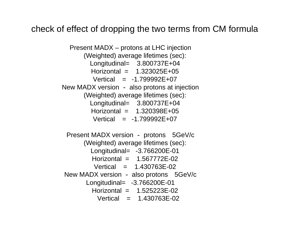### check of effect of dropping the two terms from CM formula

Present MADX – protons at LHC injection (Weighted) average lifetimes (sec): Longitudinal= 3.800737E+04  $Horizontal = 1.323025E + 0.5$  $Vertical = -1.799992E+07$ New MADX version - also protons at injection (Weighted) average lifetimes (sec): Longitudinal= 3.800737E+04 Horizontal = 1.320398E+05 $Vertical = -1.799992E+07$ 

Present MADX version - protons 5GeV/c (Weighted) average lifetimes (sec): Longitudinal= -3.766200E-01 Horizontal = 1.567772E-02 $Vertical = 1.430763E-02$ New MADX version - also protons 5GeV/c Longitudinal= -3.766200E-01 Horizontal  $= 1.525223F-02$ Vertical = 1.430763E-02